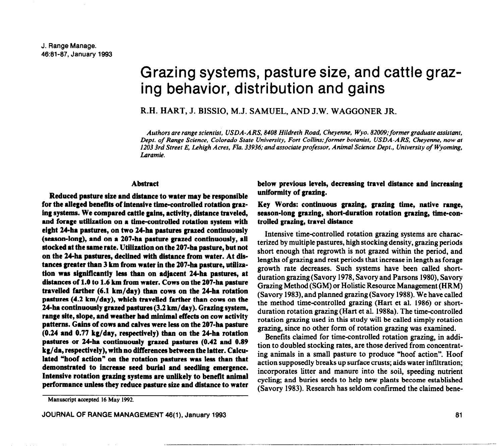# Grazing systems, pasture size, and cattle grazing behavior, distribution and gains

R.H. HART, J. BISSIO, M.J. SAMUEL, AND J.W. WAGGONER JR.

*Authors are range scientist, USDA-ARS, 8408 Hildreth Road, Cheyenne, Wyo. 82009;former graduate assistant, Dept. of Range* **Science,** *Colorado State University, Fort Collins: former botanist, USDA-ARS, Cheyenne, now at 1203 3rd Street E, Lehigh Acres, Fla. 33936: and* associate *professor, Animal Science Dept., University of Wyoming, Laramie.* 

#### **Abstract**

**Reduced pasture size and distance to water may be responsible for the alleged benefits of intensive time-controlled rotation grazing systems. We compared cattle gains, activity, distance traveled, and forage utilization on a time-controlled rotation system with eight 2&a pastures, on two 24-ha pastures grazed continuously (season-long), and on a 207-ha pasture grazed continuously, all stocked at the same rate. Utilization on the 207-ha pasture, but not on the 24ha pastures, declined with distance from water. At dis**tances greater than 3 km from water in the 207-ha pasture, utiliza**tion was significantly less than on adjacent 24ha pastures, at**  distances of 1.0 to 1.6 km from water. Cows on the 207-ha pasture **travelled farther (6.1 km/day) than cows on the 24ha rotation pastures (4.2 km/day), which travelled farther than cows on the 24ha continuously grazed pastures (3.2 km/day). Grazing system, range site, slope, and weather had minimal effects on cow activity patterns. Gains of cows and calves were less on the 207-ha pasture (0.24 and 0.77 kg/day, respectively) than on the 24ha rotation pastures or 24-ha continuously grazed pastures (0.42 and 0.89 kg/da, respectively), with no differences between the latter. Calculated "hoof action" on the rotation pastures was less than that demonstrated to increase seed burial and seedling emergence. Intensive rotation grazing systems are unlikely to benefit animal**  performance unless they reduce pasture size and distance to water **below previous levels, decreasing travel distance and increasing uniformity of grazing.** 

## **Key Words: continuous grazing, grazing time, native range,**  season-long grazing, short-duration rotation grazing, time-con**trolled grazing, travel distance**

Intensive time-controlled rotation grazing systems are characterized by multiple pastures, high stocking density, grazing periods short enough that regrowth is not grazed within the period, and lengths of grazing and rest periods that increase in length as forage growth rate decreases. Such systems have been called shortduration grazing (Savory 1978, Savory and Parsons 1980), Savory Grazing Method (SGM) or Holistic Resource Management (HRM) (Savory 1983), and planned grazing (Savory 1988). We have called the method time-controlled grazing (Hart et al. 1986) or shortduration rotation grazing (Hart et al. 1988a). The time-controlled rotation grazing used in this study will be called simply rotation grazing, since no other form of rotation grazing was examined.

Benefits claimed for time-controlled rotation grazing, in addition to doubled stocking rates, are those derived from concentrating animals in a small pasture to produce "hoof action". Hoof action supposedly breaks up surface crusts; aids water infiltration; incorporates litter and manure into the soil, speeding nutrient cycling; and buries seeds to help new plants become established (Savory 1983). Research has seldom confirmed the claimed bene-

**Manuscript accepted 16 May 1992.**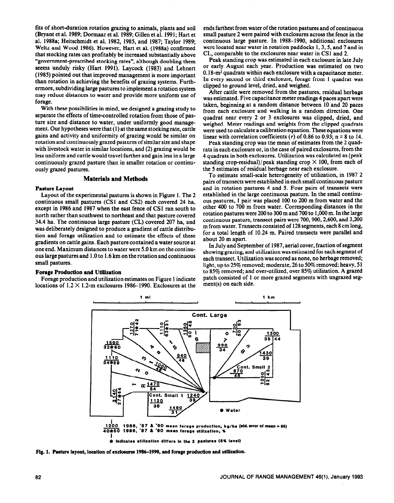fits of short-duration rotation grazing to animals, plants and soil (Bryant et al. 1989; Dormaar et al. 1989; Gillen et al. 1991; Hart et al. 1988a; Heitschmidt et al. 1982, 1985, and 1987; Taylor 1989; Weltz and Wood 1986). However, Hart et al. (1988a) confirmed that stocking rates can profitably be increased substantially above "government-prescribed stocking rates", although doubling them seems unduly risky (Hart 1991). Laycock (1983) and Lehnert (1985) pointed out that improved management is more important than rotation in achieving the benefits of grazing systems. Furthermore, subdividing large pastures to implement a rotation system may reduce distances to water and provide more uniform use of forage.

With these possibilities in mind, we designed a grazing study to separate the effects of time-controlled rotation from those of pasture size and distance to water, under uniformly good management. Our hypotheses were that (1) at the same stocking rate, cattle gains and activity and uniformity of grazing would be similar on rotation and continuously grazed pastures of similar size and shape with livestock water in similar locations, and (2) grazing would be less uniform and cattle would travel farther and gain less in a large continuously grazed pasture than in smaller rotation or continuously grazed pastures.

## **Materials and Methods**

### **Pasture Layout**

Layout of the experimental pastures is shown in Figure 1. The 2 continuous small pastures (CSl and CS2) each covered 24 ha, except in 1986 and 1987 when the east fence of CSI ran south to north rather than southwest to northeast and that pasture covered 34.4 ha. The continuous large pasture (CL) covered 207 ha, and was deliberately designed to produce a gradient of cattle distribution and forage utilization and to estimate the effects of these gradients on cattle gains. Each pasture contained a water source at one end. Maximum distances to water were 5.0 km on the continuous large pastures and 1.0 to 1.6 km on the rotation and continuous small pastures.

## **Forage Production and Utilization**

Forage production and utilization estimates on Figure 1 indicate locations of 1.2 X 1.2-m exclosures 1986-1990. Exclosures at the

ends farthest from water of the rotation pastures and of continuous small pasture 2 were paired with exclosures across the fence in the continuous large pasture. In 1988-1990, additional exclosures were located near water in rotation paddocks 1, 3, 5, and 7 and in CL, comparable to the exclosures near water in CSl and 2.

Peak standing crop was estimated in each exclosure in late July or early August each year. Production was estimated on two  $0.18$ -m<sup>2</sup> quadrats within each exclosure with a capacitance meter. In every second or third exclosure, forage from 1 quadrat was clipped to ground level, dried, and weighed.

After cattle were removed from the pastures, residual herbage was estimated. Five capacitance meter readings 4 paces apart were taken, beginning at a random distance between 10 and 20 paces from each exclosure and walking in a random direction. One quadrat near every 2 or 3 exclosures was clipped, dried, and weighed. Meter readings and weights from the clipped quadrats were used to calculate a calibration equation. These equations were linear with correlation coefficients  $(r)$  of 0.86 to 0.93; n = 8 to 14.

Peak standing crop was the mean of estimates from the 2 quadrats in each exclosure or, in the case of paired exclosures, from the 4 quadrats in both exclosures. Utilization was calculated as (peak standing crop-residual)/peak standing crop  $\times$  100, from each of the 5 estimates of residual herbage near each exclosure.

To estimate small-scale heterogeneity of utilization, in 1987 2 pairs of transects were established in each small continuous pasture and in rotation pastures 4 and 5. Four pairs of transects were established in the large continuous pasture. In the small continuous pastures, 1 pair was placed 100 to 200 m from water and the other 400 to 700 m from water. Corresponding distances in the rotation pastures were 200 to 300 m and 700 to 1,000 m. In the large continuous pasture, transect pairs were 700,900,2,600, and 3,200 m from water. Transects consisted of 128 segments, each 8 cm long, for a total length of 10.24 m. Paired transects were parallel and about 20 m apart.

In July and September of 1987, aerial cover, fraction of segment showing grazing, and utilization was estimated for each segment of each transect. Utilization was scored as none, no herbage removed; light, up to 25% removed; moderate, 26 to 50% removed; heavy, 51 to 85% removed; and over-utilized, over 85% utilization. A grazed patch consisted of 1 or more grazed segments with ungrazed segment(s) on each side.



Fig. 1. Pasture layout, location of exclosures 1986-1990, and forage production and utilization.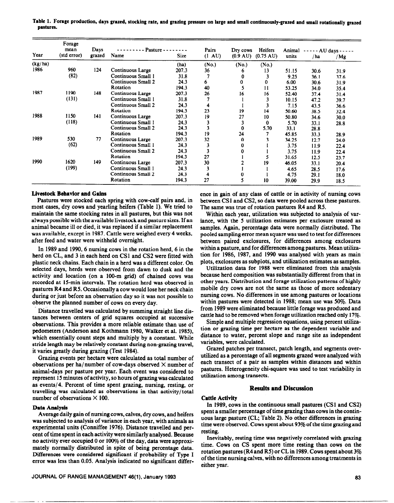|         | Forage<br>mean | Days   | Pasture -                 |             | Pairs  | Dry cows           | Heifers             | Animal | - AU days - - - - - |      |
|---------|----------------|--------|---------------------------|-------------|--------|--------------------|---------------------|--------|---------------------|------|
| Year    | (std error)    | grazed | Name                      | <b>Size</b> | (1 AU) | $(0.9 \text{ AU})$ | $(0.75 \text{ AU})$ | units  | / ha                | /Mg  |
| (kg/ha) |                |        |                           | (ha)        | (No.)  | (No.)              | (No.)               |        |                     |      |
| 1986    | 960            | 124    | Continuous Large          | 207.3       | 36     | o                  | 13                  | 51.15  | 30.6                | 31.9 |
|         | (82)           |        | Continuous Small 1        | 31.8        |        |                    |                     | 9.25   | 36.1                | 37.6 |
|         |                |        | <b>Continuous Small 2</b> | 24.3        | 6      | 0                  | 0                   | 6.00   | 30.6                | 31.9 |
|         |                |        | Rotation                  | 194.3       | 40     |                    | 11                  | 53.25  | 34.0                | 35.4 |
| 1987    | 1190           | 148    | Continuous Large          | 207.3       | 26     | 16                 | 16                  | 52.40  | 37.4                | 31.4 |
|         | (131)          |        | Continuous Small 1        | 31.8        |        |                    |                     | 10.15  | 47.2                | 39.7 |
|         |                |        | Continuous Small 2        | 24.3        | 4      |                    |                     | 7.15   | 43.5                | 36.6 |
|         |                |        | Rotation                  | 194.3       | 23     | 19                 | 14                  | 50.60  | 38.5                | 32.4 |
| 1988    | 1150           | 141    | Continuous Large          | 207.3       | 19     | 27                 | 10                  | 50.80  | 34.6                | 30.0 |
|         | (118)          |        | Continuous Small 1        | 24.3        | 3      |                    | 0                   | 5.70   | 33.1                | 28.8 |
|         |                |        | Continuous Small 2        | 24.3        |        | $\bf{0}$           | 5.70                | 33.1   | 28.8                |      |
|         |                |        | Rotation                  | 194.3       | 19     | 24                 |                     | 45.85  | 33.3                | 28.9 |
| 1989    | 530            | 77     | Continuous Large          | 207.3       | 32     | $\bf{0}$           |                     | 34.25  | 12,7                | 24.0 |
|         | (62)           |        | Continuous Small 1        | 24.3        | 3      | 0                  |                     | 3.75   | 11.9                | 22.4 |
|         |                |        | Continuous Small 2        | 24.3        | 3      | 0                  |                     | 3.75   | 11.9                | 22.4 |
|         |                |        | Rotation                  | 194.3       | 27     |                    | 5                   | 31.65  | 12.5                | 23.7 |
| 1990    | 1620           | 149    | Continuous Large          | 207.3       | 30     |                    | 19                  | 46.05  | 33.1                | 20.4 |
|         | (199)          |        | Continuous Small 1        | 24.3        | 3      |                    |                     | 4.65   | 28.5                | 17.6 |
|         |                |        | Continuous Small 2        | 24.3        |        | 0                  |                     | 4.75   | 29.1                | 18.0 |
|         |                |        | Rotation                  | 194.3       | 27     | 5                  | 10                  | 39.00  | 29.9                | 18.5 |

**Table 1. Forage production, days grazed, stocking rate, and grazing pressure on large and small continuously-grazed and small rotationally grazed pastures.** 

### **Livestock Behavior and Gains**

Pastures were stocked each spring with **cow-calf pairs and,** in most cases, dry cows and yearling heifers (Table 1). We tried to maintain the same stocking rates in all pastures, but this was not always possible with the available livestock and pasture sizes. If an animal became ill or died, it was replaced if a similar replacement was available, except in 1987. Cattle were weighed every 4 weeks, after feed and water were withheld overnight.

In 1989 and 1990, 6 nursing cows in the rotation herd, 6 in the herd on CL, and 3 in each herd on CSl and CS2 were fitted with plastic neck chains. Each chain in a herd was a different color. On selected days, herds were observed from dawn to dusk and the activity and location (on a 100-m grid) of chained cows was recorded at 15-min intervals. The rotation herd was observed in pastures R4 and RS. Occasionally a cow would lose her neck chain during or just before an observation day so it was not possible to observe the planned number of cows on every day.

Distance travelled was calculated by summing straight line distances between centers of grid squares occupied at successive observations. This provides a more reliable estimate than use of pedometers (Anderson and Kothmann 1980, Walker et al. 1985), which essentially count steps and multiply by a constant. While stride length may be relatively constant during non-grazing travel, it varies greatly during grazing (Test 1984).

Grazing events per hectare were calculated as total number of observations per ha/number of cow-days observed  $\times$  number of animal-days per pasture per year. Each event was considered to represent 15 minutes of activity, so hours of grazing was calculated as events/4. Percent of time spent grazing, nursing, resting, or travelling was calculated as observations in that activity/ total number of observations  $\times$  100.

### **Data Analysis**

Average daily gain of nursing cows, calves, dry cows, and heifers was subjected to analysis of variance in each year, with animals as experimental units (Conniffee 1976). Distance travelled and percent of time spent in each activity were similarly analysed. Because no activity ever occupied 0 or 100% of the day, data were approximately normally distributed in spite of being percentage data. Differences were considered significant if probability of Type I error was less than 0.05. Analysis indicated no significant differ-

ence in gain of any class of cattle or in activity of nursing cows between **CSl and** CS2, so data were pooled across these pastures. The same was true of rotation pastures R4 and RS.

Within each year, utilization was subjected to analysis of variance, with the 5 utilization estimates per exclosure treated as samples. Again, percentage data were normally distributed. The pooled sampling error mean square was used to test for differences between paired exclosures, for differences among exclosures within a pasture, and for differences among pastures. Mean utilization for 1986, 1987, and 1990 was analysed with years as main plots, exclosures as subplots, and utilization estimates as samples.

Utilization data for 1988 were eliminated from this analysis because herd composition was substantially different from that in other years. Distribution and forage utilization patterns of highly mobile dry cows are not the same as those of more sedentary nursing cows. No differences in use among pastures or locations within pastures were detected in 1988; mean use was 50%. Data from 1989 were eliminated because little forage was produced and cattle had to be removed when forage utilization reached only 17%.

Simple and multiple regression equations, using percent utilization or grazing time per hectare as the dependent variable and distance to water, percent slope and range site as independent variables, were calculated.

Grazed patches per transect, patch length, and segments overutilized as a percentage of all segments grazed were analyzed with each transect of a pair as samples within distances and within pastures. Heterogeneity chi-square was used to test variability in utilization among transects.

#### **Results and Discussion**

#### **Cattle Activity**

In 1989, cows in the continuous small pastures (CSl and CS2) spent a smaller percentage of time grazing than cows in the continuous large pasture (CL, Table 2). No other differences in grazing time were observed. Cows spent about 93% of the time grazing and resting.

Inevitably, resting time was negatively correlated with grazing time. Cows on CS spent more time resting than cows on the rotation pastures (R4 and R5) or CL in 1989. Cows spent about 3% of the time nursing calves, with no differences among treatments in either year.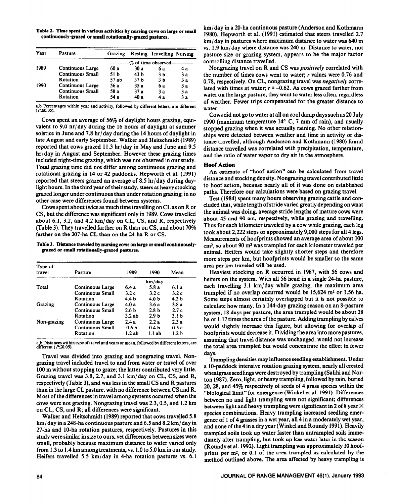**Table 2. Time spent in various activities by nursing cows on large or small continuously-grazed or small rotationally-grazed pastures.** 

| Year | Pasture                 | Grazing                       |                 | <b>Resting Travelling Nursing</b> |    |  |  |
|------|-------------------------|-------------------------------|-----------------|-----------------------------------|----|--|--|
|      |                         | $-$ % of time observed------- |                 |                                   |    |  |  |
| 1989 | Continuous Large        | 60 a                          | 30 a            | 6а                                | 4а |  |  |
|      | <b>Continuous Small</b> | 51 b                          | 43 b            | 3 <sub>b</sub>                    | 3a |  |  |
|      | Rotation                | 57ab                          | 37 <sub>b</sub> | 3 <sub>b</sub>                    | 3а |  |  |
| 1990 | Continuous Large        | 56 a                          | 35a             | 6 a                               | 3а |  |  |
|      | <b>Continuous Small</b> | 58 a                          | 37 a            | 3a                                | 3a |  |  |
|      | Rotation                | 54 a                          | 40 a            | 4 a                               | 3а |  |  |

**a,b Percentages within year and activity, followed by different letters, are different**   $(P \le 0.05)$ .

Cows spent an average of  $56\%$  of daylight hours grazing, equivalent to 9.0 hr/day during the 16 hours of daylight at summer solstice in June and 7.8 hr/day during the 14 hours of daylight in late August and early September. Walker and Heitschmidt (1989) reported that cows grazed 11.3 hr/day in May and June and 9.5 hr/day in August and September. However these grazing times included night-time grazing, which was not observed in our study. Total grazing time did not differ among continuous grazing and rotational grazing in 14 or 42 paddocks. Hepworth et al. (1991) reported that steers grazed an average of 8.5 hr/day during daylight hours. In the third year of their study, steers at heavy stocking grazed longer under continuous than under rotation grazing; in no other case were differences found between systems.

Cows spent about twice as much time travelling on CL as on R or CS, but the difference was significant only in 1989. Cows travelled about 6.1, 3.2, and 4.2 km/day on CL, CS, and R, respectively (Table 3). They travelled farther on R than on CS, and about 70% farther on the 207-ha CL than on the 24-ha R or CS.

**Table 3. Distance traveled by nursing cows on large or small continuously grazed or small rotationally-grazed pastures.** 

| Type of<br>travel | Pasture                 | 1989             | 1990             | Mean             |  |  |
|-------------------|-------------------------|------------------|------------------|------------------|--|--|
|                   |                         | km/day-          |                  |                  |  |  |
| Total             | Continuous Large        | 6.4 a            | 5.8 a            | 6.1 a            |  |  |
|                   | <b>Continuous Small</b> | 3.2c             | 3.2c             | 3.2c             |  |  |
|                   | Rotation                | 4.4 b            | 4.0 <sub>b</sub> | 4.2 <sub>b</sub> |  |  |
| Grazing           | Continuous Large        | 4.0 a            | 3.6a             | 3.8a             |  |  |
|                   | <b>Continuous Small</b> | 2.6 <sub>b</sub> | 2.8 <sub>b</sub> | 2.7c             |  |  |
|                   | Rotation                | 3.2ab            | 2.9 <sub>b</sub> | 3.1 <sub>b</sub> |  |  |
| Non-grazing       | Continuous Large        | 2.4 a            | 2.2a             | 2.3a             |  |  |
|                   | <b>Continuous Small</b> | በ 6 ኬ            | 0.4 <sub>b</sub> | 0.5c             |  |  |
|                   | Rotation                | 1.2ab            | 1.1ab            | 1.2 <sub>b</sub> |  |  |

**a,b Distances within type of travel and years or mean, followed by different letters, arc** 

Travel was divided into grazing and nongrazing travel. Nongrazing travel included travel to and from water or travel of over 100 m without stopping to graze; the latter contributed very little. Grazing travel was 3.8,2.7, and 3.1 km/day on CL, CS, and R, respectively (Table 3), and was less in the small CS and R pastures than in the large CL pasture, with no difference between CS and R. Most of the differences in travel among systems occurred when the cows were not grazing. Nongrazing travel was 2.3,0.5, and 1.2 km on CL, CS, and R; all differences were significant.

Walker and Heitschmidt (1989) reported that cows travelled 5.8 km/day in a 248-ha continuous pasture and 6.5 and 8.2 km/day in 27-ha and IO-ha rotation pastures, respectively. Pastures in this study were similar in size to ours, yet differences between sizes were small, probably because maximum distance to water varied only from 1.3 to 1.4 km among treatments, vs. 1 .O to 5.0 km in our study. Heifers travelled 5.5 km/day in 4-ha rotation pastures vs. 6.1

km/day in a 20-ha continuous pasture (Anderson and Kothmann 1980). Hepworth et al. (1991) estimated that steers travelled 2.7 km/ day in pastures where maximum distance to water was 640 m vs. 1.9 km/day where distance was 240 m. Distance to water, not pasture size or grazing system, appears to be the major factor controlling distance travelled.

Nongrazing travel on R and CS was *positively* correlated with the number of times cows went to water; r values were 0.76 and 0.78, respectively. On CL, nongrazing travel was *negatively corre*lated with times at water;  $r = -0.62$ . As cows grazed farther from water on the large pasture, they went to water less often, regardless of weather. Fewer trips compensated for the greater distance to water.

Cows did not go to water at all on cool damp days such as 20 July 1990 (maximum temperature  $14^{\circ}$  C, 7 mm of rain), and usually stopped grazing when it was actually raining. No other relationships were detected between weather and time in activity or distance travelled, although Anderson and Kothmann (1980) found distance travelled was correlated with precipitation, temperature, and the ratio of water vapor to dry air in the atmosphere.

## **Hoof Action**

An estimate of "hoof action" can be calculated from travel distance and stocking density. Nongrazing travel contributed little to hoof action, because nearly all of it was done on established paths. Therefore our calculations were based on grazing travel.

**Test** (1984) spent many hours observing grazing cattle and concluded that, while length of stride varied greatly depending on what the animal was doing, average stride lengths of mature cows were about 45 and 90 cm, respectively, while grazing and travelling. Thus for each kilometer traveled by a cow while grazing, each leg took about 2,222 steps or approximately 9,000 steps for all 4 legs. Measurements of hoofprints showed an average area of about 100 cm<sup>2</sup>, so about 90 m<sup>2</sup> was trampled for each kilometer traveled per animal. Heifers would take slightly shorter steps and therefore more steps per km, but hoofprints would be smaller so the same area per km traveled will be used.

Heaviest stocking on R occurred in 1987, with 56 cows and heifers on the system. With all 56 head in a single 24-ha pasture, each travelling 3.1 km/day while grazing, the maximum area trampled if no overlap occurred would be  $15,624$  m<sup>2</sup> or 1.56 ha. Some steps almost certainly overlapped but it is not possible to calculate how many. In a 144-day grazing season on an 8-pasture system, 18 days per pasture, the area trampled would be about 28 ha or 1.17 times the area of the pasture. Adding trampling by calves would slightly increase this figure, but allowing for overlap of hoofprints would decrease it. Dividing the area into more pastures, **assuming** that travel distance was unchanged, would not increase the total area trampled but would concentrate the effect in fewer days.

Trampling densities may influence seedling establishment. Under a lo-paddock intensive rotation grazing system, nearly all crested wheatgrass seedlings were destroyed by trampling (Salihi and Norton 1987). Zero, light, or heavy trampling, followed by rain, buried 20,28, and 45% respectively of seeds of 4 grass species within the "biological limit" for emergence (Winkel et al. 1991). Differences between no and light trampling were not significant; differences between light and heavy trampling were significant in 2 of 8 year  $\times$ species combinations. Heavy trampling increased seedling emergence of 1 of 4 grasses in a wet year, all 4 in a moderately wet year, and none of the 4 in a dry year (Winkel and Roundy 1991). Heavily trampled soils took up water faster than untrampled soils immediately after trampling, but took up less water later in the season (Roundy et al. 1992). Light trampling was approximately 10 hoofprints per  $m^2$ , or 0.1 of the area trampled as calculated by the method outlined above. The area affected by heavy trampling is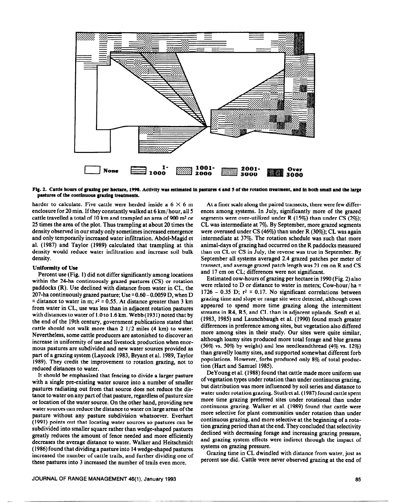

Fig. 2. Cattle hours of grazing per hectare, 1990. Activity was estimated in pastures 4 and 5 of the rotation treatment, and in both small and the large **pastured of the continuous grazing treatments.** 

**harder** to calculate. Five cattle were herded inside a  $6 \times 6$  m enclosure for 20 min. If they constantly walked at 6 km/ hour, all 5 cattle travelled a total of 10 km and trampled an area of 900 m<sup>2</sup> or 25 times the area of the plot. Thus trampling at about 20 times the density observed in our study only sometimes increased emergence and only temporarily increased water infiltration. Abdel-Magid et al. (1987) and Taylor (1989) calculated that trampling at this density would reduce water infiltration and increase soil bulk density.

#### **Uniformity of Use**

Percent use (Fig. 1) did not differ significantly among locations within the 24-ha continuously grazed pastures (CS) or rotation paddocks (R). Use declined with distance from water in CL, the 207-ha continuously grazed pasture; Use  $= 0.60 - 0.0059$  D, when D  $\overline{a}$  = distance to water in m;  $r^2$  = 0.55. At distance greater than 3 km from water in CL, use was less than in adjacent rotation pastures with distances to water of 1.0 to 1.6 km. Webb (1931) noted that by the end of the 19th century, government publications stated that cattle should not walk more than  $2 \frac{1}{2}$  miles (4 km) to water. Nevertheless, some cattle producers are astonished to discover an increase in uniformity of use and livestock production when enormous pastures are subdivided and new water sources provided as part of a grazing system (Laycock 1983, Bryant et al. 1989, Taylor 1989). They credit the improvement to rotation grazing, not to reduced distances to water.

It should be emphasized that fencing to divide a larger pasture with a single pre-existing water source into a number of smaller pastures radiating out from that source does not reduce the distance to water on any part of that pasture, regardless of pasture size or location of the water source. On the other hand, providing new water sources can reduce the distance to water on large areas of the pasture without any pasture subdivision whatsoever. Everhart (1991) points out that locating water sources so pastures can be subdivided into smaller square rather than wedge-shaped pastures greatly reduces the amount of fence needed and more efficiently decreases the average distance to water. Walker and Heitschmidt (1986) found that dividing a pasture into 14 wedge-shaped pastures increased the number of cattle trails, and further dividing one of these pastures into 3 increased the number of trails even more.

At a finer scale along the paired transects, there were few differences among systems. In July, significantly more of the grazed segments were over-utilized under R (15%) than under CS (2%); CL was intermediate at 7%. By September, more grazed segments were overused under CS (46%) than under R (30%); CL was again intermediate at 37%. The rotation schedule was such that more animal-days of grazing had occurred on the R paddocks measured than on CL or CS in July; the reverse was true in September. By September all systems averaged 2.4 grazed patches per meter of transect, and average grazed patch length was 21 cm on R and CS and 17 cm on CL; differences were not significant.

Estimated cow-hours of grazing per hectare in 1990 (Fig. 2) also were related to D or distance to water in meters; Cow-hour/ha = 1726 - 0.35 D;  $r^2 = 0.17$ . No significant correlations between grazing time and slope or range site were detected, although cows appeared to spend more time grazing along the intermittent streams in R4, R5, and CL than in adjacent uplands. Senft et al. (1983, 1985) and Launchbaugh et al. (1990) found much greater differences in preference among sites, but vegetation also differed more among sites in their study. Our sites were quite similar, although loamy sites produced more total forage and blue grama (56% vs. 50% by weight) and less needleandthread (4% vs.  $12\%$ ) than gravelly loamy sites, and supported somewhat different forb populations. However, forbs produced only 8% of total production (Hart and Samuel 1985).

DeYoung et al. (1988) found that cattle made more uniform use of vegetation types under rotation than under continuous grazing, but distribution was more influenced by soil series and distance to water under rotation grazing. Stuth et al. (1987) found cattle spent more time grazing preferred sites under rotational than under continuous grazing. Walker et al. (1989) found that cattle were more selective for plant communities under rotation than under continuous grazing, and more selective at the beginning of a rotation grazing period than at the end. They concluded that selectivity declined with decreasing forage and increasing grazing pressure, and grazing system effects were indirect through the impact of systems on grazing pressure.

Grazing time in CL dwindled with distance from water, just as percent use did. Cattle were never observed grazing at the end of

--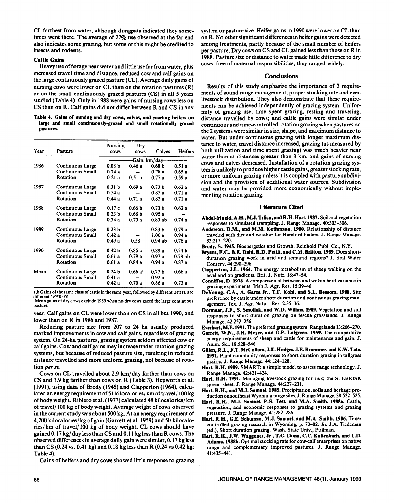CL farthest from water, although dungpats indicated they sometimes went there. The average of 27% use observed at the far end also indicates some grazing, but some of this might be credited to insects and rodents.

## Cattle **Gains**

Heavy use of forage near water and little use far from water, plus increased travel time and distance, reduced cow and calf gains on the large continuously grazed pasture (CL). Average daily gains of nursing cows were lower on CL than on the rotation pastures (R) or on the small continuously grazed pastures (CS) in all 5 years studied (Table 4). Only in 1988 were gains of nursing cows less on CS than on R. Calf gains did not differ between R and CS in any

**Table 4. Gains of nursing and dry cows, calves, and yearling heifers on large and small continuously-grazed and small rotationally grazed pastures.** 

| Үеаг | Pasture                 | Nursing<br>cows   | Dry<br>cows        | Calves            | Heifers           |  |
|------|-------------------------|-------------------|--------------------|-------------------|-------------------|--|
|      |                         | -Gain, km/day---  |                    |                   |                   |  |
| 1986 | Continuous Large        | 0.08 <sub>b</sub> | 0.46a              | 0.68 <sub>b</sub> | 0.51a             |  |
|      | <b>Continuous Small</b> | 0.24a             |                    | 0.78a             | 0.65a             |  |
|      | Rotation                | 0.21a             | 0.51a              | 0.77a             | 0.59a             |  |
| 1987 | Continuous Large        | 0.31 <sub>b</sub> | 0.69a              | 0.73 <sub>b</sub> | 0.62a             |  |
|      | <b>Continuous Small</b> | 0.54 a            |                    | 0.85a             | 0.71a             |  |
|      | Rotation                | 0.44a             | 0.71a              | 0.83a             | 0.71a             |  |
| 1988 | Continuous Large        | 0.17c             | 0.66 <sub>b</sub>  | 0.73 <sub>b</sub> | 0.62a             |  |
|      | <b>Continuous Small</b> | 0.23 <sub>b</sub> | 0.68 <sub>b</sub>  | 0.95a             |                   |  |
|      | Rotation                | 0.34a             | 0.73a              | $0.83$ ab         | 0.74a             |  |
| 1989 | Continuous Large        | 0.23 <sub>b</sub> |                    | 0.83 <sub>b</sub> | 0.79a             |  |
|      | Continuous Small        | 0.42a             |                    | 1.06a             | 0.94a             |  |
|      | Rotation                | 0.49a             | 0.58               | $0.94$ ab         | 0.76 a            |  |
| 1990 | Continuous Large        | 0.42 <sub>b</sub> | 0.85a              | 0.89a             | 0.74 <sub>b</sub> |  |
|      | <b>Continuous Small</b> | 0.61a             | 0.79a              | 0.97a             | 0.78ab            |  |
|      | Rotation                | 0.61a             | 0.84a              | 0.94a             | 0.87a             |  |
| Mean | Continuous Large        | 0.24 <sub>b</sub> | 0.66a <sup>1</sup> | 0.77 <sub>b</sub> | 0.66 a            |  |
|      | <b>Continuous Small</b> | 0.41a             |                    | 0.92a             |                   |  |
|      | Rotation                | 0.42a             | 0.70a              | 0.86a             | 0.73a             |  |

a,b Gains of the same class of cattle in the same year, followed by different letters, are different ( $P \le 0.05$ ). **'Mean** gains of dry cows exclude **1989 when no dry cows gazed the large continuous** 

**pasture.** 

year. Calf gains on CL were lower than on CS in all but 1990, and lower than on R in 1986 and 1987.

Reducing pasture size from 207 to 24 ha usually produced marked improvements in cow and calf gains, regardless of grazing system. On 24-ha pastures, grazing system seldom affected cow or calf gains. Cow and **calf** gains may increase under rotation grazing systems, but because of reduced pasture size, resulting in reduced distance travelled and more uniform grazing, not because of rotation *per se.* 

*Cows* on CL travelled about 2.9 km/day farther than cows on CS and 1.9 kg farther than cows on R (Table 3). Hepworth et al. (1991), using data of Brody (1945) and Clapperton (1964), calculated an energy requirement of 51 kilocalories/ km of travel/ 100 kg of body weight. Ribiero et al. (1977) calculated 48 kilocalories/ km of travel/ 100 kg of body weight. Average weight of cows observed in the current study was about 500 kg. At an energy requirement of 4,200 kilocalories/ kg of gain (Garrett et al. 1959) and 50 kilocalories/ km of travel/ 100 kg of body weight, CL cows should have gained 0.17 kg/day less than CS and 0.11 kg less than R cows. The observed differences in average daily gain were similar, 0.17 kg less than CS (0.24 vs. 0.41 kg) and 0.18 kg less than R (0.24 vs 0.42 kg; Table 4).

Gains of heifers and dry cows showed little response to grazing

system or pasture size. Heifer gains in 1990 were lower on CL than on R. No other significant differences in heifer gains were detected among treatments, partly because of the small number of heifers per pasture. Dry cows on CS and CL gained less than those on R in 1988. Pasture size or distance to water made little difference to dry cows; free of maternal responsibilities, they ranged widely.

## **Conclusions**

Results of this study emphasize the importance of 2 requirements of sound range management, proper stocking rate and even livestock distribution. They also demonstrate that these requirements can be achieved independently of grazing system. Uniformity of grazing use; time spent grazing, resting and traveling; distance travelled by cows; and cattle gains were similar under continuous and time-controlled rotation grazing when pastures on the 2 systems were similar in size, shape, and maximum distance to water. But under continuous grazing with longer maximum distance to water, travel distance increased, grazing (as measured by both utilization and time spent grazing) was much heavier near water than at distances greater than 3 km, and gains of nursing cows and calves decreased. Installation of a rotation grazing system is unlikely to produce higher cattle gains, greater stocking rate, or more uniform grazing unless it is coupled with pasture subdivision and the provision of additional water sources. Subdivision and water may be provided more economically without implementing rotation grazing.

### **Literature Cited**

- **Abdel-Magid, A.H., M.J. Trlica, and R.H. Hart. 1987. Soil** and vegetation responses to simulated trampling. J. Range Manage. 40:303-306.
- **Anderson, D.M., and M.M. Kothmann. 1980.** Relationship of distance traveled with diet and weather for Hereford heifers. J. Range Manage. 33:217-220.
- **Brody, S. 1945.** Bioenergetics and Growth. Reinhold Publ. Co., N.Y.
- Bryant, F.C., B.E. Dahl, R.D. Pettit, and C.M. Britton. 1989. Does shortduration grazing work in arid and semiarid regions? J. Soil Water Conserv. 44:290-296.
- **Clapperton, J.L. 1964. The** energy metabolism of sheep walking on the level and on zradients. Brit. J. Nutr. 18:47-54.
- **Conniffee, D. 1976.** A comparison of between and within herd variance in grazing experiments. Irish J. Agr. Res. 15:39-46.
- **DeYoung, C.A., A. Garza Jr., T.F. Kohl, and S.L. Beasom. 1988.** Site preference by cattle under short duration and continuous grazing management. Tex. J. Agr. Natur. Res. 2:35-36.
- **Dormur, J.F., S. Smoliak, and W.D. Willms. 1989.** Vegetation and soil responses to short duration grazing on fescue grasslands. J. Range Manage. 42:252-256.

**Everhart, M.E. 1991. The** preferred grazing system. Rangelands 13:266-270.

- Garrett. W.N.. **J.H. Meyer, and G.P. Lofgreen. 1959.** The comparative energy requirements of sheep and cattle for maintenance and gain. J. Anim. Sci. 18:528-546.
- **Gillen, R.L., F.T. McCollum, J.E. Hodges, J.E. Brummer, and K.W.** Tate. **1991.** Plant community responses to short duration grazing in tallgrass prairie. J. Range Manage. 44:124-128.
- Hart, R.H. 1989. SMART: a simple model to assess range technology. J. Range Manage. 42:421-424.
- Hart, R.H. 1991. Managing livestock grazing for risk; the STEERISK spread sheet. J. Range Manage. 44:227-231.
- **Hart,** R.H., and M.J. Samuel. 1985. Precipitation, soils and herbage production on southeast Wyoming range sites. J. Range Manage. 38:522-525.
- **Hart, R.H., M.J.** Samuel, P.S. Test, and **M.A. Smith. 1988a.** Cattle, vegetation, and economic responses to grazing systems and grazing pressure. J. Range Manage. 41:282-286.
- **Hart. R.H.. G.E. Schuman, M.J. Samuel, and M.A. Smith. 1986.** Timecontrolled grazing research in Wyoming, p. 73-82. In: J.A. Tiedeman (ed.), Short duration grazing. Wash. State Univ., Pullman.
- Hart, R.H., J.W. Waggoner, Jr., T.G. Dunn, C.C. Kaltenbach, and L.D. **Adams. 1988b.** Optimal stocking rate for cow-calf enterprises on native range and complementary improved pastures. J. Range Manage. 41:435-441.